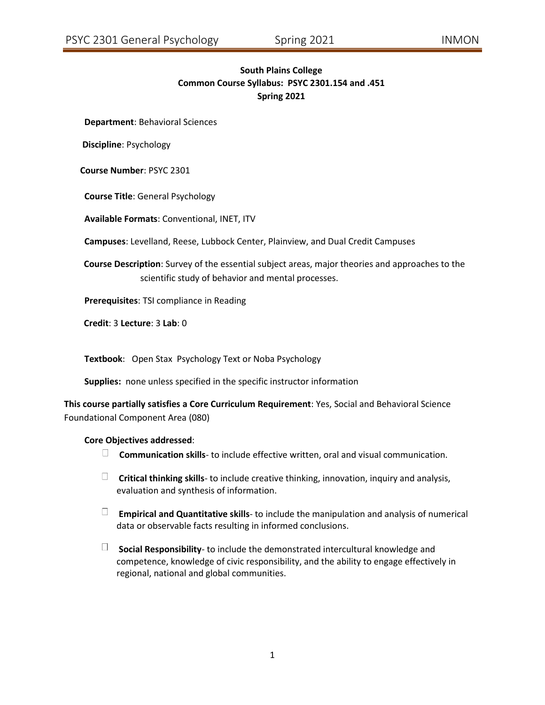# **South Plains College Common Course Syllabus: PSYC 2301.154 and .451 Spring 2021**

**Department**: Behavioral Sciences

**Discipline**: Psychology

**Course Number**: PSYC 2301

**Course Title**: General Psychology

**Available Formats**: Conventional, INET, ITV

**Campuses**: Levelland, Reese, Lubbock Center, Plainview, and Dual Credit Campuses

**Course Description**: Survey of the essential subject areas, major theories and approaches to the scientific study of behavior and mental processes.

**Prerequisites**: TSI compliance in Reading

**Credit**: 3 **Lecture**: 3 **Lab**: 0

**Textbook**: Open Stax Psychology Text or Noba Psychology

**Supplies:** none unless specified in the specific instructor information

**This course partially satisfies a Core Curriculum Requirement**: Yes, Social and Behavioral Science Foundational Component Area (080)

#### **Core Objectives addressed**:

- **Communication skills** to include effective written, oral and visual communication.
- **Critical thinking skills** to include creative thinking, innovation, inquiry and analysis, evaluation and synthesis of information.
- **Empirical and Quantitative skills** to include the manipulation and analysis of numerical data or observable facts resulting in informed conclusions.
- **Social Responsibility** to include the demonstrated intercultural knowledge and competence, knowledge of civic responsibility, and the ability to engage effectively in regional, national and global communities.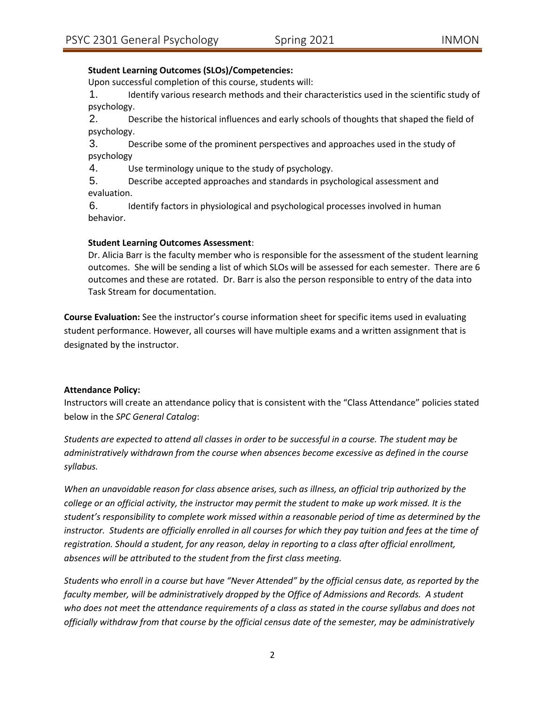# **Student Learning Outcomes (SLOs)/Competencies:**

Upon successful completion of this course, students will:

1. Identify various research methods and their characteristics used in the scientific study of psychology.

2. Describe the historical influences and early schools of thoughts that shaped the field of psychology.

3. Describe some of the prominent perspectives and approaches used in the study of psychology

4. Use terminology unique to the study of psychology.

5. Describe accepted approaches and standards in psychological assessment and evaluation.

6. Identify factors in physiological and psychological processes involved in human behavior.

# **Student Learning Outcomes Assessment**:

Dr. Alicia Barr is the faculty member who is responsible for the assessment of the student learning outcomes. She will be sending a list of which SLOs will be assessed for each semester. There are 6 outcomes and these are rotated. Dr. Barr is also the person responsible to entry of the data into Task Stream for documentation.

**Course Evaluation:** See the instructor's course information sheet for specific items used in evaluating student performance. However, all courses will have multiple exams and a written assignment that is designated by the instructor.

### **Attendance Policy:**

Instructors will create an attendance policy that is consistent with the "Class Attendance" policies stated below in the *SPC General Catalog*:

*Students are expected to attend all classes in order to be successful in a course. The student may be administratively withdrawn from the course when absences become excessive as defined in the course syllabus.*

*When an unavoidable reason for class absence arises, such as illness, an official trip authorized by the college or an official activity, the instructor may permit the student to make up work missed. It is the student's responsibility to complete work missed within a reasonable period of time as determined by the instructor. Students are officially enrolled in all courses for which they pay tuition and fees at the time of registration. Should a student, for any reason, delay in reporting to a class after official enrollment, absences will be attributed to the student from the first class meeting.*

*Students who enroll in a course but have "Never Attended" by the official census date, as reported by the faculty member, will be administratively dropped by the Office of Admissions and Records. A student who does not meet the attendance requirements of a class as stated in the course syllabus and does not officially withdraw from that course by the official census date of the semester, may be administratively*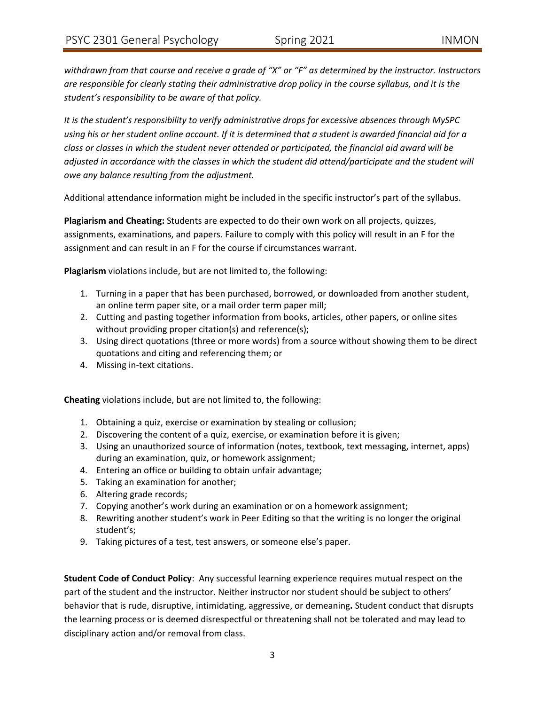*withdrawn from that course and receive a grade of "X" or "F" as determined by the instructor. Instructors are responsible for clearly stating their administrative drop policy in the course syllabus, and it is the student's responsibility to be aware of that policy.* 

*It is the student's responsibility to verify administrative drops for excessive absences through MySPC using his or her student online account. If it is determined that a student is awarded financial aid for a class or classes in which the student never attended or participated, the financial aid award will be adjusted in accordance with the classes in which the student did attend/participate and the student will owe any balance resulting from the adjustment.*

Additional attendance information might be included in the specific instructor's part of the syllabus.

**Plagiarism and Cheating:** Students are expected to do their own work on all projects, quizzes, assignments, examinations, and papers. Failure to comply with this policy will result in an F for the assignment and can result in an F for the course if circumstances warrant.

**Plagiarism** violations include, but are not limited to, the following:

- 1. Turning in a paper that has been purchased, borrowed, or downloaded from another student, an online term paper site, or a mail order term paper mill;
- 2. Cutting and pasting together information from books, articles, other papers, or online sites without providing proper citation(s) and reference(s);
- 3. Using direct quotations (three or more words) from a source without showing them to be direct quotations and citing and referencing them; or
- 4. Missing in-text citations.

**Cheating** violations include, but are not limited to, the following:

- 1. Obtaining a quiz, exercise or examination by stealing or collusion;
- 2. Discovering the content of a quiz, exercise, or examination before it is given;
- 3. Using an unauthorized source of information (notes, textbook, text messaging, internet, apps) during an examination, quiz, or homework assignment;
- 4. Entering an office or building to obtain unfair advantage;
- 5. Taking an examination for another;
- 6. Altering grade records;
- 7. Copying another's work during an examination or on a homework assignment;
- 8. Rewriting another student's work in Peer Editing so that the writing is no longer the original student's;
- 9. Taking pictures of a test, test answers, or someone else's paper.

**Student Code of Conduct Policy**: Any successful learning experience requires mutual respect on the part of the student and the instructor. Neither instructor nor student should be subject to others' behavior that is rude, disruptive, intimidating, aggressive, or demeaning**.** Student conduct that disrupts the learning process or is deemed disrespectful or threatening shall not be tolerated and may lead to disciplinary action and/or removal from class.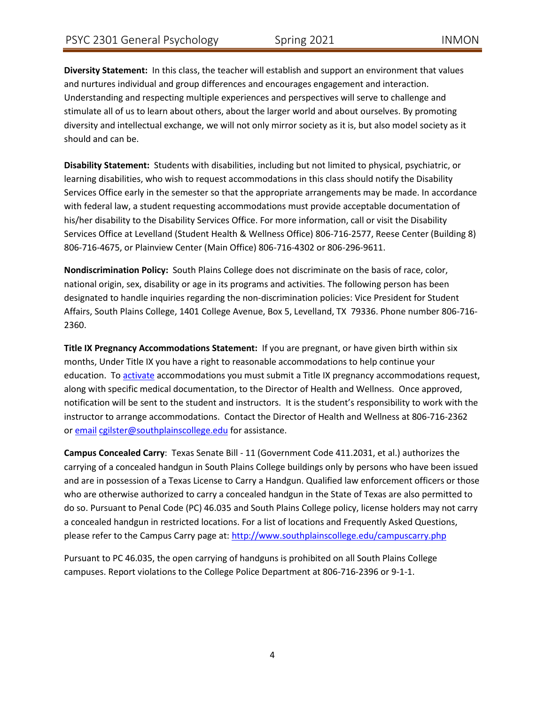**Diversity Statement:** In this class, the teacher will establish and support an environment that values and nurtures individual and group differences and encourages engagement and interaction. Understanding and respecting multiple experiences and perspectives will serve to challenge and stimulate all of us to learn about others, about the larger world and about ourselves. By promoting diversity and intellectual exchange, we will not only mirror society as it is, but also model society as it should and can be.

**Disability Statement:** Students with disabilities, including but not limited to physical, psychiatric, or learning disabilities, who wish to request accommodations in this class should notify the Disability Services Office early in the semester so that the appropriate arrangements may be made. In accordance with federal law, a student requesting accommodations must provide acceptable documentation of his/her disability to the Disability Services Office. For more information, call or visit the Disability Services Office at Levelland (Student Health & Wellness Office) 806-716-2577, Reese Center (Building 8) 806-716-4675, or Plainview Center (Main Office) 806-716-4302 or 806-296-9611.

**Nondiscrimination Policy:** South Plains College does not discriminate on the basis of race, color, national origin, sex, disability or age in its programs and activities. The following person has been designated to handle inquiries regarding the non-discrimination policies: Vice President for Student Affairs, South Plains College, 1401 College Avenue, Box 5, Levelland, TX 79336. Phone number 806-716- 2360.

**Title IX Pregnancy Accommodations Statement:** If you are pregnant, or have given birth within six months, Under Title IX you have a right to reasonable accommodations to help continue your education. To [activate](http://www.southplainscollege.edu/employees/manualshandbooks/facultyhandbook/sec4.php) accommodations you must submit a Title IX pregnancy accommodations request, along with specific medical documentation, to the Director of Health and Wellness. Once approved, notification will be sent to the student and instructors. It is the student's responsibility to work with the instructor to arrange accommodations. Contact the Director of Health and Wellness at 806-716-2362 or [email](http://www.southplainscollege.edu/employees/manualshandbooks/facultyhandbook/sec4.php) [cgilster@southplainscollege.edu](mailto:cgilster@southplainscollege.edu) for assistance.

**Campus Concealed Carry**: Texas Senate Bill - 11 (Government Code 411.2031, et al.) authorizes the carrying of a concealed handgun in South Plains College buildings only by persons who have been issued and are in possession of a Texas License to Carry a Handgun. Qualified law enforcement officers or those who are otherwise authorized to carry a concealed handgun in the State of Texas are also permitted to do so. Pursuant to Penal Code (PC) 46.035 and South Plains College policy, license holders may not carry a concealed handgun in restricted locations. For a list of locations and Frequently Asked Questions, please refer to the Campus Carry page at: <http://www.southplainscollege.edu/campuscarry.php>

Pursuant to PC 46.035, the open carrying of handguns is prohibited on all South Plains College campuses. Report violations to the College Police Department at 806-716-2396 or 9-1-1.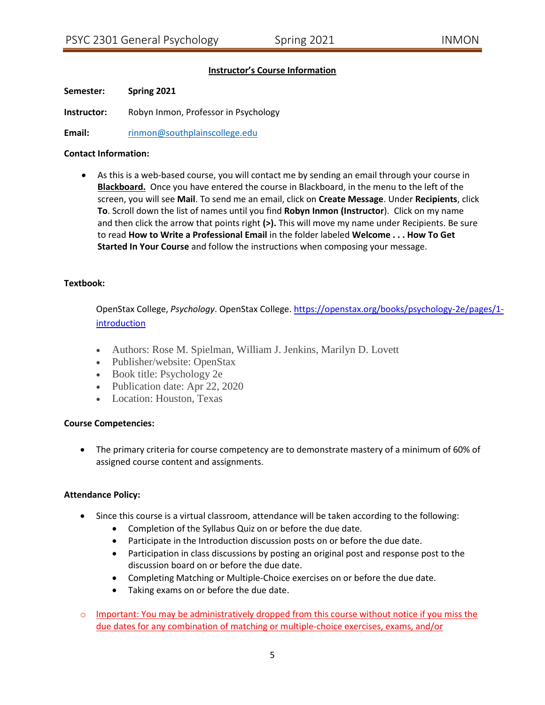# **Instructor's Course Information**

**Semester: Spring 2021**

**Instructor:** Robyn Inmon, Professor in Psychology

**Email:** [rinmon@southplainscollege.edu](mailto:rinmon@southplainscollege.edu)

### **Contact Information:**

• As this is a web-based course, you will contact me by sending an email through your course in **Blackboard.** Once you have entered the course in Blackboard, in the menu to the left of the screen, you will see **Mail**. To send me an email, click on **Create Message**. Under **Recipients**, click **To**. Scroll down the list of names until you find **Robyn Inmon (Instructor**). Click on my name and then click the arrow that points right **(>).** This will move my name under Recipients. Be sure to read **How to Write a Professional Email** in the folder labeled **Welcome . . . How To Get Started In Your Course** and follow the instructions when composing your message.

### **Textbook:**

OpenStax College, *Psychology*. OpenStax College. [https://openstax.org/books/psychology-2e/pages/1](https://openstax.org/books/psychology-2e/pages/1-introduction) **[introduction](https://openstax.org/books/psychology-2e/pages/1-introduction)** 

- Authors: Rose M. Spielman, William J. Jenkins, Marilyn D. Lovett
- Publisher/website: OpenStax
- Book title: Psychology 2e
- Publication date: Apr 22, 2020
- Location: Houston, Texas

### **Course Competencies:**

• The primary criteria for course competency are to demonstrate mastery of a minimum of 60% of assigned course content and assignments.

### **Attendance Policy:**

- Since this course is a virtual classroom, attendance will be taken according to the following:
	- Completion of the Syllabus Quiz on or before the due date.
	- Participate in the Introduction discussion posts on or before the due date.
	- Participation in class discussions by posting an original post and response post to the discussion board on or before the due date.
	- Completing Matching or Multiple-Choice exercises on or before the due date.
	- Taking exams on or before the due date.
- o Important: You may be administratively dropped from this course without notice if you miss the due dates for any combination of matching or multiple-choice exercises, exams, and/or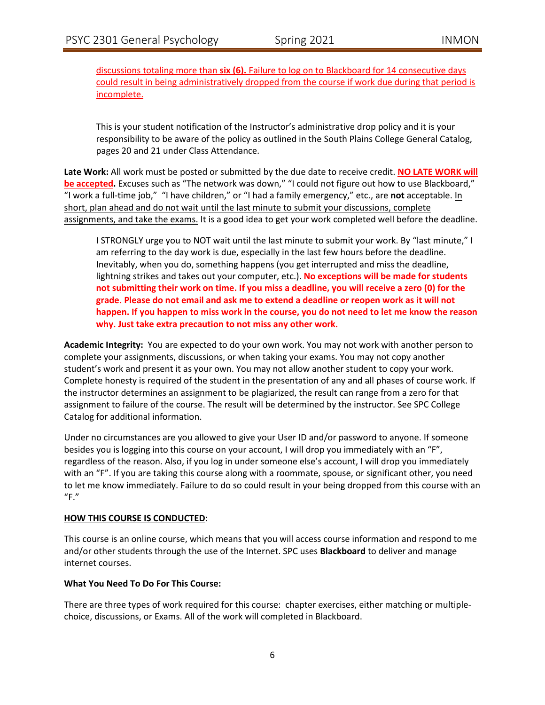discussions totaling more than **six (6).** Failure to log on to Blackboard for 14 consecutive days could result in being administratively dropped from the course if work due during that period is incomplete.

This is your student notification of the Instructor's administrative drop policy and it is your responsibility to be aware of the policy as outlined in the South Plains College General Catalog, pages 20 and 21 under Class Attendance.

**Late Work:** All work must be posted or submitted by the due date to receive credit. **NO LATE WORK will be accepted.** Excuses such as "The network was down," "I could not figure out how to use Blackboard," "I work a full-time job," "I have children," or "I had a family emergency," etc., are **not** acceptable. In short, plan ahead and do not wait until the last minute to submit your discussions, complete assignments, and take the exams. It is a good idea to get your work completed well before the deadline.

I STRONGLY urge you to NOT wait until the last minute to submit your work. By "last minute," I am referring to the day work is due, especially in the last few hours before the deadline. Inevitably, when you do, something happens (you get interrupted and miss the deadline, lightning strikes and takes out your computer, etc.). **No exceptions will be made for students not submitting their work on time. If you miss a deadline, you will receive a zero (0) for the grade. Please do not email and ask me to extend a deadline or reopen work as it will not happen. If you happen to miss work in the course, you do not need to let me know the reason why. Just take extra precaution to not miss any other work.**

**Academic Integrity:** You are expected to do your own work. You may not work with another person to complete your assignments, discussions, or when taking your exams. You may not copy another student's work and present it as your own. You may not allow another student to copy your work. Complete honesty is required of the student in the presentation of any and all phases of course work. If the instructor determines an assignment to be plagiarized, the result can range from a zero for that assignment to failure of the course. The result will be determined by the instructor. See SPC College Catalog for additional information.

Under no circumstances are you allowed to give your User ID and/or password to anyone. If someone besides you is logging into this course on your account, I will drop you immediately with an "F", regardless of the reason. Also, if you log in under someone else's account, I will drop you immediately with an "F". If you are taking this course along with a roommate, spouse, or significant other, you need to let me know immediately. Failure to do so could result in your being dropped from this course with an "F."

### **HOW THIS COURSE IS CONDUCTED**:

This course is an online course, which means that you will access course information and respond to me and/or other students through the use of the Internet. SPC uses **Blackboard** to deliver and manage internet courses.

#### **What You Need To Do For This Course:**

There are three types of work required for this course: chapter exercises, either matching or multiplechoice, discussions, or Exams. All of the work will completed in Blackboard.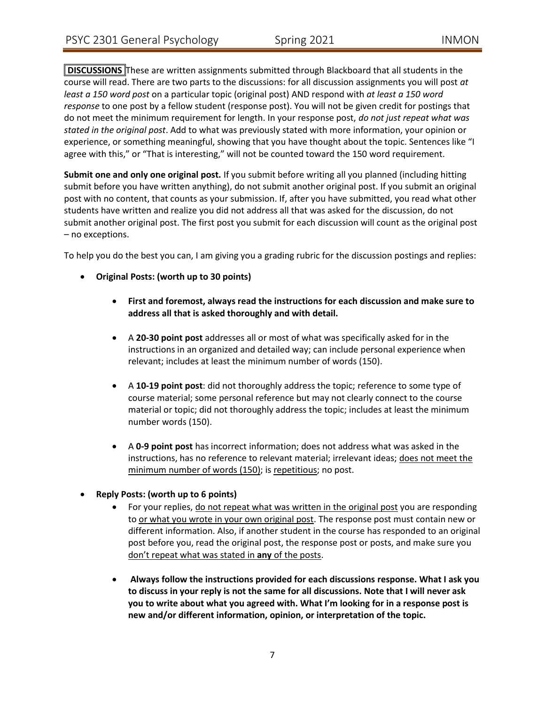**DISCUSSIONS** These are written assignments submitted through Blackboard that all students in the course will read. There are two parts to the discussions: for all discussion assignments you will post *at least a 150 word post* on a particular topic (original post) AND respond with *at least a 150 word response* to one post by a fellow student (response post). You will not be given credit for postings that do not meet the minimum requirement for length. In your response post, *do not just repeat what was stated in the original post*. Add to what was previously stated with more information, your opinion or experience, or something meaningful, showing that you have thought about the topic. Sentences like "I agree with this," or "That is interesting," will not be counted toward the 150 word requirement.

**Submit one and only one original post.** If you submit before writing all you planned (including hitting submit before you have written anything), do not submit another original post. If you submit an original post with no content, that counts as your submission. If, after you have submitted, you read what other students have written and realize you did not address all that was asked for the discussion, do not submit another original post. The first post you submit for each discussion will count as the original post – no exceptions.

To help you do the best you can, I am giving you a grading rubric for the discussion postings and replies:

- **Original Posts: (worth up to 30 points)**
	- **First and foremost, always read the instructions for each discussion and make sure to address all that is asked thoroughly and with detail.**
	- A **20-30 point post** addresses all or most of what was specifically asked for in the instructions in an organized and detailed way; can include personal experience when relevant; includes at least the minimum number of words (150).
	- A **10-19 point post**: did not thoroughly address the topic; reference to some type of course material; some personal reference but may not clearly connect to the course material or topic; did not thoroughly address the topic; includes at least the minimum number words (150).
	- A **0-9 point post** has incorrect information; does not address what was asked in the instructions, has no reference to relevant material; irrelevant ideas; does not meet the minimum number of words (150); is repetitious; no post.
- **Reply Posts: (worth up to 6 points)**
	- For your replies, do not repeat what was written in the original post you are responding to or what you wrote in your own original post. The response post must contain new or different information. Also, if another student in the course has responded to an original post before you, read the original post, the response post or posts, and make sure you don't repeat what was stated in **any** of the posts.
	- **Always follow the instructions provided for each discussions response. What I ask you to discuss in your reply is not the same for all discussions. Note that I will never ask you to write about what you agreed with. What I'm looking for in a response post is new and/or different information, opinion, or interpretation of the topic.**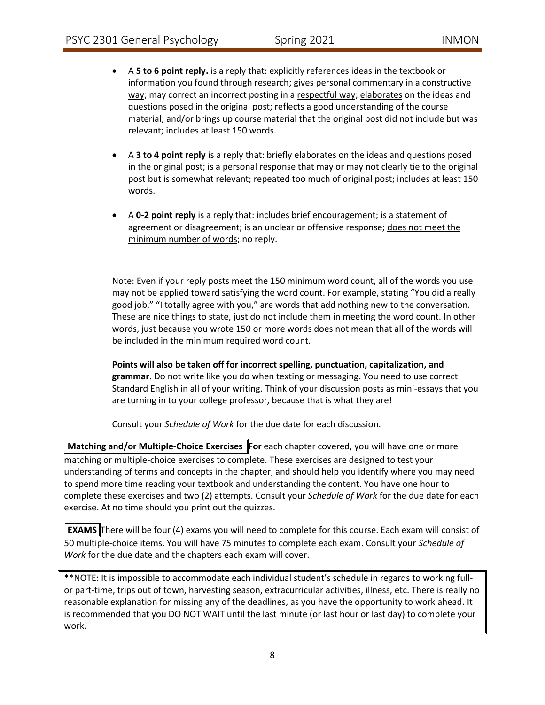- A **5 to 6 point reply.** is a reply that: explicitly references ideas in the textbook or information you found through research; gives personal commentary in a constructive way; may correct an incorrect posting in a respectful way; elaborates on the ideas and questions posed in the original post; reflects a good understanding of the course material; and/or brings up course material that the original post did not include but was relevant; includes at least 150 words.
- A **3 to 4 point reply** is a reply that: briefly elaborates on the ideas and questions posed in the original post; is a personal response that may or may not clearly tie to the original post but is somewhat relevant; repeated too much of original post; includes at least 150 words.
- A **0-2 point reply** is a reply that: includes brief encouragement; is a statement of agreement or disagreement; is an unclear or offensive response; does not meet the minimum number of words; no reply.

Note: Even if your reply posts meet the 150 minimum word count, all of the words you use may not be applied toward satisfying the word count. For example, stating "You did a really good job," "I totally agree with you," are words that add nothing new to the conversation. These are nice things to state, just do not include them in meeting the word count. In other words, just because you wrote 150 or more words does not mean that all of the words will be included in the minimum required word count.

**Points will also be taken off for incorrect spelling, punctuation, capitalization, and grammar.** Do not write like you do when texting or messaging. You need to use correct Standard English in all of your writing. Think of your discussion posts as mini-essays that you are turning in to your college professor, because that is what they are!

Consult your *Schedule of Work* for the due date for each discussion.

**Matching and/or Multiple-Choice Exercises For** each chapter covered, you will have one or more matching or multiple-choice exercises to complete. These exercises are designed to test your understanding of terms and concepts in the chapter, and should help you identify where you may need to spend more time reading your textbook and understanding the content. You have one hour to complete these exercises and two (2) attempts. Consult your *Schedule of Work* for the due date for each exercise. At no time should you print out the quizzes.

**EXAMS** There will be four (4) exams you will need to complete for this course. Each exam will consist of 50 multiple-choice items. You will have 75 minutes to complete each exam. Consult your *Schedule of Work* for the due date and the chapters each exam will cover.

\*\*NOTE: It is impossible to accommodate each individual student's schedule in regards to working fullor part-time, trips out of town, harvesting season, extracurricular activities, illness, etc. There is really no reasonable explanation for missing any of the deadlines, as you have the opportunity to work ahead. It is recommended that you DO NOT WAIT until the last minute (or last hour or last day) to complete your work.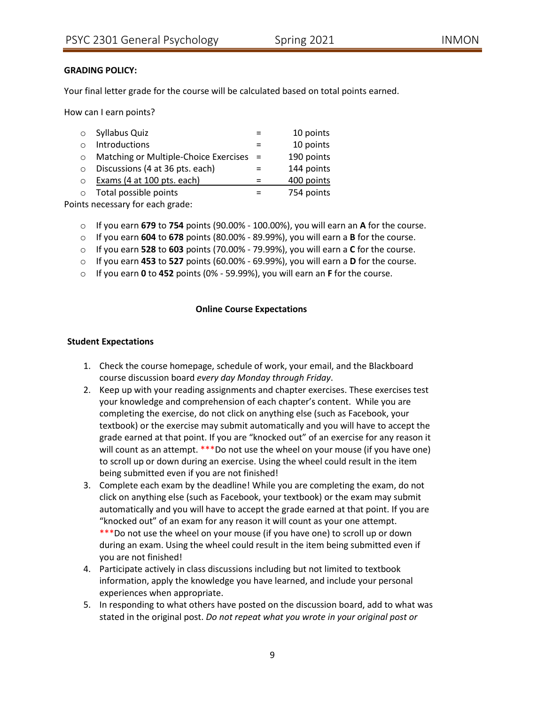### **GRADING POLICY:**

Your final letter grade for the course will be calculated based on total points earned.

How can I earn points?

| $\Omega$ | Syllabus Quiz                           | 10 points  |
|----------|-----------------------------------------|------------|
|          | Introductions                           | 10 points  |
| $\circ$  | Matching or Multiple-Choice Exercises = | 190 points |
| $\Omega$ | Discussions (4 at 36 pts. each)         | 144 points |
| ◯        | Exams (4 at 100 pts. each)              | 400 points |
| $\Omega$ | Total possible points                   | 754 points |

Points necessary for each grade:

- o If you earn **679** to **754** points (90.00% 100.00%), you will earn an **A** for the course.
- o If you earn **604** to **678** points (80.00% 89.99%), you will earn a **B** for the course.
- o If you earn **528** to **603** points (70.00% 79.99%), you will earn a **C** for the course.
- o If you earn **453** to **527** points (60.00% 69.99%), you will earn a **D** for the course.
- o If you earn **0** to **452** points (0% 59.99%), you will earn an **F** for the course.

#### **Online Course Expectations**

#### **Student Expectations**

- 1. Check the course homepage, schedule of work, your email, and the Blackboard course discussion board *every day Monday through Friday*.
- 2. Keep up with your reading assignments and chapter exercises. These exercises test your knowledge and comprehension of each chapter's content. While you are completing the exercise, do not click on anything else (such as Facebook, your textbook) or the exercise may submit automatically and you will have to accept the grade earned at that point. If you are "knocked out" of an exercise for any reason it will count as an attempt. \*\*\*Do not use the wheel on your mouse (if you have one) to scroll up or down during an exercise. Using the wheel could result in the item being submitted even if you are not finished!
- 3. Complete each exam by the deadline! While you are completing the exam, do not click on anything else (such as Facebook, your textbook) or the exam may submit automatically and you will have to accept the grade earned at that point. If you are "knocked out" of an exam for any reason it will count as your one attempt. \*\*\*Do not use the wheel on your mouse (if you have one) to scroll up or down during an exam. Using the wheel could result in the item being submitted even if you are not finished!
- 4. Participate actively in class discussions including but not limited to textbook information, apply the knowledge you have learned, and include your personal experiences when appropriate.
- 5. In responding to what others have posted on the discussion board, add to what was stated in the original post. *Do not repeat what you wrote in your original post or*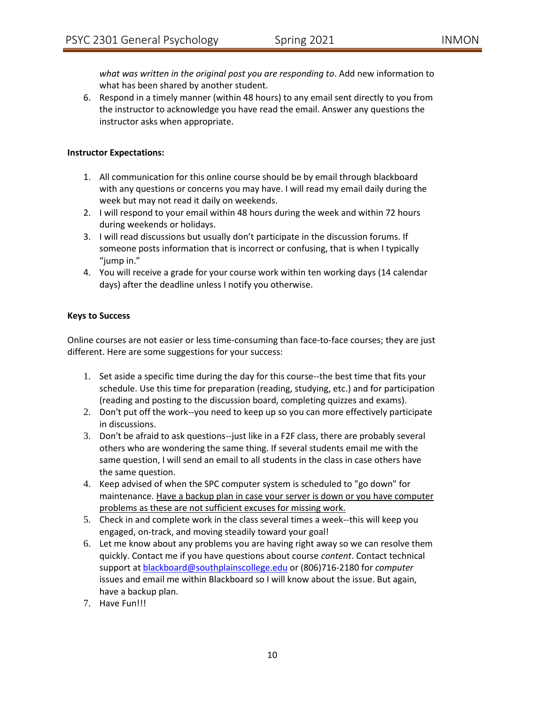*what was written in the original post you are responding to*. Add new information to what has been shared by another student.

6. Respond in a timely manner (within 48 hours) to any email sent directly to you from the instructor to acknowledge you have read the email. Answer any questions the instructor asks when appropriate.

#### **Instructor Expectations:**

- 1. All communication for this online course should be by email through blackboard with any questions or concerns you may have. I will read my email daily during the week but may not read it daily on weekends.
- 2. I will respond to your email within 48 hours during the week and within 72 hours during weekends or holidays.
- 3. I will read discussions but usually don't participate in the discussion forums. If someone posts information that is incorrect or confusing, that is when I typically "jump in."
- 4. You will receive a grade for your course work within ten working days (14 calendar days) after the deadline unless I notify you otherwise.

### **Keys to Success**

Online courses are not easier or less time-consuming than face-to-face courses; they are just different. Here are some suggestions for your success:

- 1. Set aside a specific time during the day for this course--the best time that fits your schedule. Use this time for preparation (reading, studying, etc.) and for participation (reading and posting to the discussion board, completing quizzes and exams).
- 2. Don't put off the work--you need to keep up so you can more effectively participate in discussions.
- 3. Don't be afraid to ask questions--just like in a F2F class, there are probably several others who are wondering the same thing. If several students email me with the same question, I will send an email to all students in the class in case others have the same question.
- 4. Keep advised of when the SPC computer system is scheduled to "go down" for maintenance. Have a backup plan in case your server is down or you have computer problems as these are not sufficient excuses for missing work.
- 5. Check in and complete work in the class several times a week--this will keep you engaged, on-track, and moving steadily toward your goal!
- 6. Let me know about any problems you are having right away so we can resolve them quickly. Contact me if you have questions about course *content*. Contact technical support a[t blackboard@southplainscollege.edu](mailto:blackboard@southplainscollege.edu) or (806)716-2180 for *computer* issues and email me within Blackboard so I will know about the issue. But again, have a backup plan.
- 7. Have Fun!!!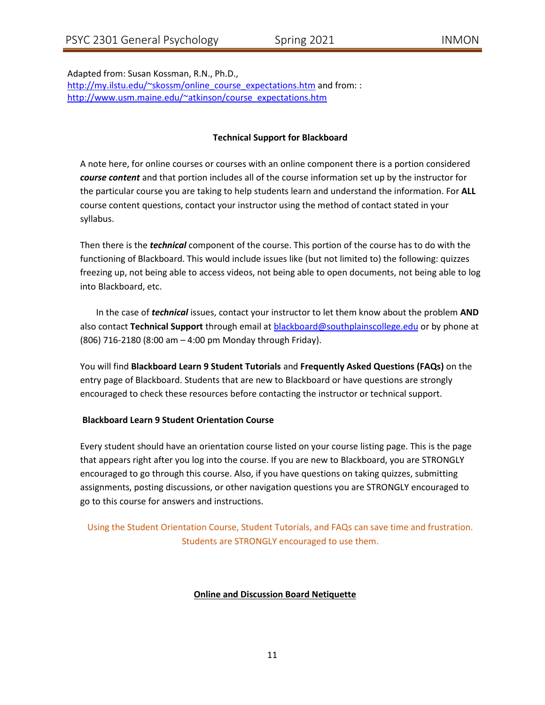Adapted from: Susan Kossman, R.N., Ph.D., [http://my.ilstu.edu/~skossm/online\\_course\\_expectations.htm](http://my.ilstu.edu/~skossm/online_course_expectations.htm) and from: : [http://www.usm.maine.edu/~atkinson/course\\_expectations.htm](http://www.usm.maine.edu/~atkinson/course_expectations.htm)

#### **Technical Support for Blackboard**

A note here, for online courses or courses with an online component there is a portion considered *course content* and that portion includes all of the course information set up by the instructor for the particular course you are taking to help students learn and understand the information. For **ALL**  course content questions, contact your instructor using the method of contact stated in your syllabus.

Then there is the *technical* component of the course. This portion of the course has to do with the functioning of Blackboard. This would include issues like (but not limited to) the following: quizzes freezing up, not being able to access videos, not being able to open documents, not being able to log into Blackboard, etc.

In the case of *technical* issues, contact your instructor to let them know about the problem **AND**  also contact **Technical Support** through email a[t blackboard@southplainscollege.edu](mailto:blackboard@southplainscollege.edu) or by phone at (806) 716-2180 (8:00 am – 4:00 pm Monday through Friday).

You will find **Blackboard Learn 9 Student Tutorials** and **Frequently Asked Questions (FAQs)** on the entry page of Blackboard. Students that are new to Blackboard or have questions are strongly encouraged to check these resources before contacting the instructor or technical support.

### **Blackboard Learn 9 Student Orientation Course**

Every student should have an orientation course listed on your course listing page. This is the page that appears right after you log into the course. If you are new to Blackboard, you are STRONGLY encouraged to go through this course. Also, if you have questions on taking quizzes, submitting assignments, posting discussions, or other navigation questions you are STRONGLY encouraged to go to this course for answers and instructions.

Using the Student Orientation Course, Student Tutorials, and FAQs can save time and frustration. Students are STRONGLY encouraged to use them.

#### **Online and Discussion Board Netiquette**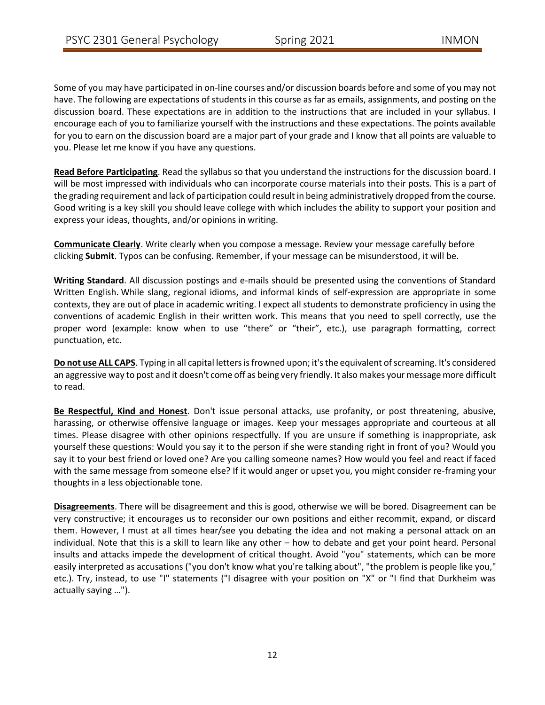Some of you may have participated in on-line courses and/or discussion boards before and some of you may not have. The following are expectations of students in this course as far as emails, assignments, and posting on the discussion board. These expectations are in addition to the instructions that are included in your syllabus. I encourage each of you to familiarize yourself with the instructions and these expectations. The points available for you to earn on the discussion board are a major part of your grade and I know that all points are valuable to you. Please let me know if you have any questions.

**Read Before Participating**. Read the syllabus so that you understand the instructions for the discussion board. I will be most impressed with individuals who can incorporate course materials into their posts. This is a part of the grading requirement and lack of participation could result in being administratively dropped from the course. Good writing is a key skill you should leave college with which includes the ability to support your position and express your ideas, thoughts, and/or opinions in writing.

**Communicate Clearly**. Write clearly when you compose a message. Review your message carefully before clicking **Submit**. Typos can be confusing. Remember, if your message can be misunderstood, it will be.

**Writing Standard**. All discussion postings and e-mails should be presented using the conventions of Standard Written English. While slang, regional idioms, and informal kinds of self-expression are appropriate in some contexts, they are out of place in academic writing. I expect all students to demonstrate proficiency in using the conventions of academic English in their written work. This means that you need to spell correctly, use the proper word (example: know when to use "there" or "their", etc.), use paragraph formatting, correct punctuation, etc.

**Do not use ALL CAPS**. Typing in all capital letters is frowned upon; it's the equivalent of screaming. It's considered an aggressive way to post and it doesn't come off as being very friendly. It also makes your message more difficult to read.

**Be Respectful, Kind and Honest**. Don't issue personal attacks, use profanity, or post threatening, abusive, harassing, or otherwise offensive language or images. Keep your messages appropriate and courteous at all times. Please disagree with other opinions respectfully. If you are unsure if something is inappropriate, ask yourself these questions: Would you say it to the person if she were standing right in front of you? Would you say it to your best friend or loved one? Are you calling someone names? How would you feel and react if faced with the same message from someone else? If it would anger or upset you, you might consider re-framing your thoughts in a less objectionable tone.

**Disagreements**. There will be disagreement and this is good, otherwise we will be bored. Disagreement can be very constructive; it encourages us to reconsider our own positions and either recommit, expand, or discard them. However, I must at all times hear/see you debating the idea and not making a personal attack on an individual. Note that this is a skill to learn like any other – how to debate and get your point heard. Personal insults and attacks impede the development of critical thought. Avoid "you" statements, which can be more easily interpreted as accusations ("you don't know what you're talking about", "the problem is people like you," etc.). Try, instead, to use "I" statements ("I disagree with your position on "X" or "I find that Durkheim was actually saying …").